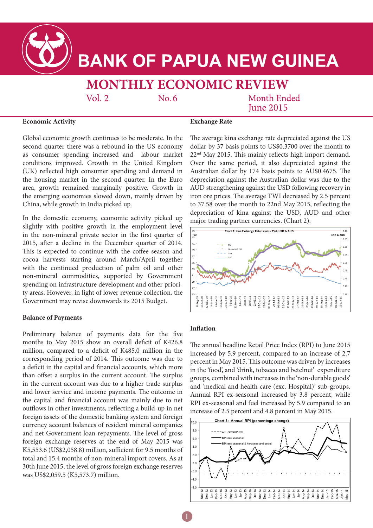

# **BANK OF PAPUA NEW GUINEA**

## **MONTHLY ECONOMIC REVIEW**

Vol.  $2$ 

 $No.6$ 

**Month Ended Iune 2015** 

#### **Economic Activity**

**Exchange Rate**

Global economic growth continues to be moderate. In the second quarter there was a rebound in the US economy as consumer spending increased and labour market conditions improved. Growth in the United Kingdom (UK) reflected high consumer spending and demand in the housing market in the second quarter. In the Euro area, growth remained marginally positive. Growth in the emerging economies slowed down, mainly driven by China, while growth in India picked up.

In the domestic economy, economic activity picked up slightly with positive growth in the employment level in the non-mineral private sector in the first quarter of 2015, after a decline in the December quarter of 2014. This is expected to continue with the coffee season and cocoa harvests starting around March/April together with the continued production of palm oil and other non-mineral commodities, supported by Government spending on infrastructure development and other priority areas. However, in light of lower revenue collection, the Government may revise downwards its 2015 Budget.

#### **Balance of Payments**

Preliminary balance of payments data for the five months to May 2015 show an overall deficit of K426.8 million, compared to a deficit of K485.0 million in the corresponding period of 2014. This outcome was due to a deficit in the capital and financial accounts, which more than offset a surplus in the current account. The surplus in the current account was due to a higher trade surplus and lower service and income payments. The outcome in the capital and financial account was mainly due to net outflows in other investments, reflecting a build-up in net foreign assets of the domestic banking system and foreign currency account balances of resident mineral companies and net Government loan repayments. The level of gross foreign exchange reserves at the end of May 2015 was K5,553.6 (US\$2,058.8) million, sufficient for 9.5 months of total and 15.4 months of non-mineral import covers. As at 30th June 2015, the level of gross foreign exchange reserves was US\$2,059.5 (K5,573.7) million.

The average kina exchange rate depreciated against the US dollar by 37 basis points to US\$0.3700 over the month to 22nd May 2015. This mainly reflects high import demand. Over the same period, it also depreciated against the Australian dollar by 174 basis points to AU\$0.4675. The depreciation against the Australian dollar was due to the AUD strengthening against the USD following recovery in iron ore prices. The average TWI decreased by 2.5 percent to 37.58 over the month to 22nd May 2015, reflecting the depreciation of kina against the USD, AUD and other major trading partner currencies. (Chart 2).



### **Inflation**

1

The annual headline Retail Price Index (RPI) to June 2015 increased by 5.9 percent, compared to an increase of 2.7 percent in May 2015. This outcome was driven by increases in the 'food', and 'drink, tobacco and betelnut' expenditure groups, combined with increases in the 'non-durable goods' and 'medical and health care (exc. Hospital)' sub-groups. Annual RPI ex-seasonal increased by 3.8 percent, while RPI ex-seasonal and fuel increased by 5.9 compared to an increase of 2.5 percent and 4.8 percent in May 2015.

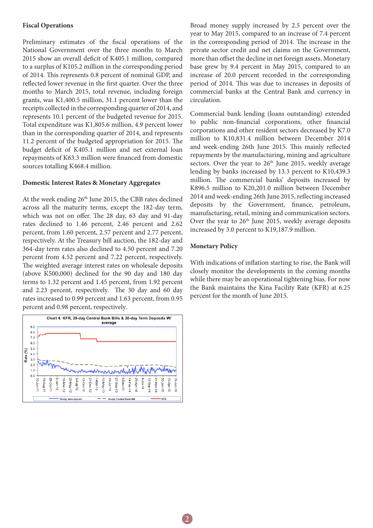#### **Fiscal Operations**

Preliminary estimates of the fiscal operations of the National Government over the three months to March 2015 show an overall deficit of K405.1 million, compared to a surplus of K105.2 million in the corresponding period of 2014. This represents 0.8 percent of nominal GDP, and reflected lower revenue in the first quarter. Over the three months to March 2015, total revenue, including foreign grants, was K1,400.5 million, 31.1 percent lower than the receipts collected in the corresponding quarter of 2014, and represents 10.1 percent of the budgeted revenue for 2015. Total expenditure was K1,805.6 million, 4.9 percent lower than in the corresponding quarter of 2014, and represents 11.2 percent of the budgeted appropriation for 2015. The budget deficit of K405.1 million and net external loan repayments of K63.3 million were financed from domestic sources totalling K468.4 million.

#### **Domestic Interest Rates & Monetary Aggregates**

At the week ending 26<sup>th</sup> June 2015, the CBB rates declined across all the maturity terms, except the 182-day term, which was not on offer. The 28 day, 63 day and 91-day rates declined to 1.46 percent, 2.46 percent and 2.62 percent, from 1.60 percent, 2.57 percent and 2.77 percent, respectively. At the Treasury bill auction, the 182-day and 364-day term rates also declined to 4.50 percent and 7.20 percent from 4.52 percent and 7.22 percent, respectively. The weighted average interest rates on wholesale deposits (above K500,000) declined for the 90 day and 180 day terms to 1.32 percent and 1.45 percent, from 1.92 percent and 2.23 percent, respectively. The 30 day and 60 day rates increased to 0.99 percent and 1.63 percent, from 0.95 percent and 0.98 percent, respectively.



Broad money supply increased by 2.5 percent over the year to May 2015, compared to an increase of 7.4 percent in the corresponding period of 2014. The increase in the private sector credit and net claims on the Government, more than offset the decline in net foreign assets. Monetary base grew by 9.4 percent in May 2015, compared to an increase of 20.0 percent recorded in the corresponding period of 2014. This was due to increases in deposits of commercial banks at the Central Bank and currency in circulation.

Commercial bank lending (loans outstanding) extended to public non-financial corporations, other financial corporations and other resident sectors decreased by K7.0 million to K10,831.4 million between December 2014 and week-ending 26th June 2015. This mainly reflected repayments by the manufacturing, mining and agriculture sectors. Over the year to 26<sup>th</sup> June 2015, weekly average lending by banks increased by 13.3 percent to K10,439.3 million. The commercial banks' deposits increased by K896.5 million to K20,201.0 million between December 2014 and week-ending 26th June 2015, reflecting increased deposits by the Government, finance, petroleum, manufacturing, retail, mining and communication sectors. Over the year to  $26<sup>th</sup>$  June 2015, weekly average deposits increased by 3.0 percent to K19,187.9 million.

#### **Monetary Policy**

With indications of inflation starting to rise, the Bank will closely monitor the developments in the coming months while there may be an operational tightening bias. For now the Bank maintains the Kina Facility Rate (KFR) at 6.25 percent for the month of June 2015.